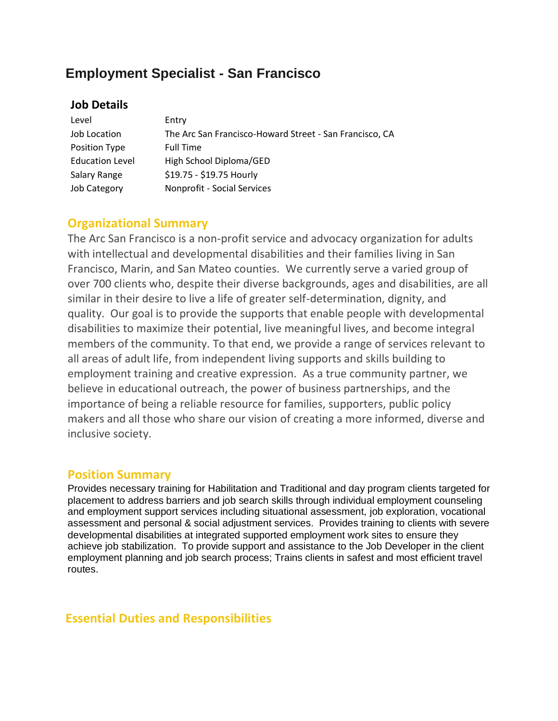# **Employment Specialist - San Francisco**

### **Job Details**

| Level                  | Entry                                                   |
|------------------------|---------------------------------------------------------|
| Job Location           | The Arc San Francisco-Howard Street - San Francisco, CA |
| Position Type          | <b>Full Time</b>                                        |
| <b>Education Level</b> | High School Diploma/GED                                 |
| Salary Range           | \$19.75 - \$19.75 Hourly                                |
| <b>Job Category</b>    | Nonprofit - Social Services                             |

### **Organizational Summary**

The Arc San Francisco is a non-profit service and advocacy organization for adults with intellectual and developmental disabilities and their families living in San Francisco, Marin, and San Mateo counties. We currently serve a varied group of over 700 clients who, despite their diverse backgrounds, ages and disabilities, are all similar in their desire to live a life of greater self-determination, dignity, and quality. Our goal is to provide the supports that enable people with developmental disabilities to maximize their potential, live meaningful lives, and become integral members of the community. To that end, we provide a range of services relevant to all areas of adult life, from independent living supports and skills building to employment training and creative expression. As a true community partner, we believe in educational outreach, the power of business partnerships, and the importance of being a reliable resource for families, supporters, public policy makers and all those who share our vision of creating a more informed, diverse and inclusive society.

# **Position Summary**

Provides necessary training for Habilitation and Traditional and day program clients targeted for placement to address barriers and job search skills through individual employment counseling and employment support services including situational assessment, job exploration, vocational assessment and personal & social adjustment services. Provides training to clients with severe developmental disabilities at integrated supported employment work sites to ensure they achieve job stabilization. To provide support and assistance to the Job Developer in the client employment planning and job search process; Trains clients in safest and most efficient travel routes.

# **Essential Duties and Responsibilities**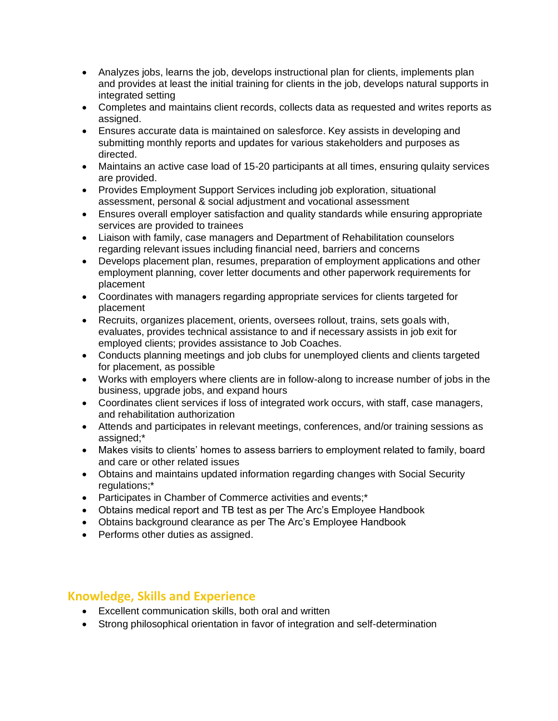- Analyzes jobs, learns the job, develops instructional plan for clients, implements plan and provides at least the initial training for clients in the job, develops natural supports in integrated setting
- Completes and maintains client records, collects data as requested and writes reports as assigned.
- Ensures accurate data is maintained on salesforce. Key assists in developing and submitting monthly reports and updates for various stakeholders and purposes as directed.
- Maintains an active case load of 15-20 participants at all times, ensuring qulaity services are provided.
- Provides Employment Support Services including job exploration, situational assessment, personal & social adjustment and vocational assessment
- Ensures overall employer satisfaction and quality standards while ensuring appropriate services are provided to trainees
- Liaison with family, case managers and Department of Rehabilitation counselors regarding relevant issues including financial need, barriers and concerns
- Develops placement plan, resumes, preparation of employment applications and other employment planning, cover letter documents and other paperwork requirements for placement
- Coordinates with managers regarding appropriate services for clients targeted for placement
- Recruits, organizes placement, orients, oversees rollout, trains, sets goals with, evaluates, provides technical assistance to and if necessary assists in job exit for employed clients; provides assistance to Job Coaches.
- Conducts planning meetings and job clubs for unemployed clients and clients targeted for placement, as possible
- Works with employers where clients are in follow-along to increase number of jobs in the business, upgrade jobs, and expand hours
- Coordinates client services if loss of integrated work occurs, with staff, case managers, and rehabilitation authorization
- Attends and participates in relevant meetings, conferences, and/or training sessions as assigned;\*
- Makes visits to clients' homes to assess barriers to employment related to family, board and care or other related issues
- Obtains and maintains updated information regarding changes with Social Security regulations;\*
- Participates in Chamber of Commerce activities and events;\*
- Obtains medical report and TB test as per The Arc's Employee Handbook
- Obtains background clearance as per The Arc's Employee Handbook
- Performs other duties as assigned.

# **Knowledge, Skills and Experience**

- Excellent communication skills, both oral and written
- Strong philosophical orientation in favor of integration and self-determination